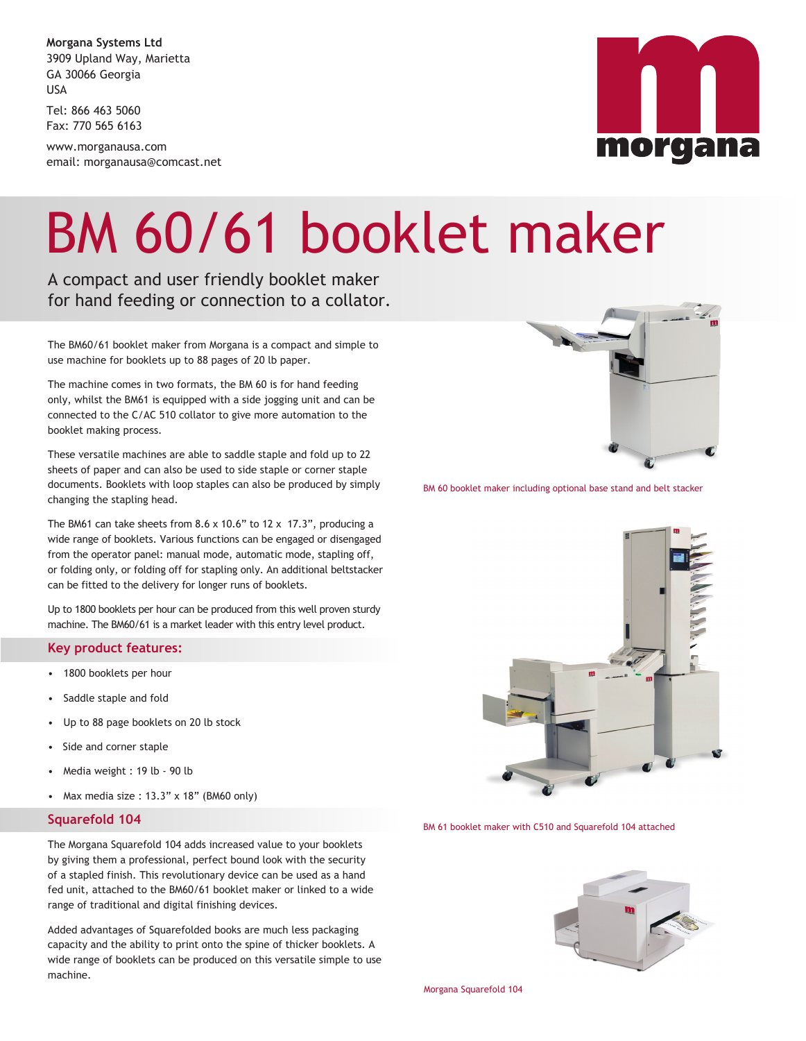**Morgana Systems Ltd** 3909 Upland Way, Marietta GA 30066 Georgia USA

Tel: 866 463 5060 Fax: 770 565 6163

www.morganausa.com email: morganausa@comcast.net

# morgana

### BM 60/61 booklet maker

A compact and user friendly booklet maker for hand feeding or connection to a collator.

The BM60/61 booklet maker from Morgana is a compact and simple to use machine for booklets up to 88 pages of 20 lb paper.

The machine comes in two formats, the BM 60 is for hand feeding only, whilst the BM61 is equipped with a side jogging unit and can be connected to the C/AC 510 collator to give more automation to the booklet making process.

These versatile machines are able to saddle staple and fold up to 22 sheets of paper and can also be used to side staple or corner staple documents. Booklets with loop staples can also be produced by simply changing the stapling head.

The BM61 can take sheets from 8.6 x 10.6" to 12 x 17.3", producing a wide range of booklets. Various functions can be engaged or disengaged from the operator panel: manual mode, automatic mode, stapling off, or folding only, or folding off for stapling only. An additional beltstacker can be fitted to the delivery for longer runs of booklets.

Up to 1800 booklets per hour can be produced from this well proven sturdy machine. The BM60/61 is a market leader with this entry level product.

### **Key product features:**

- 1800 booklets per hour
- Saddle staple and fold
- Up to 88 page booklets on 20 lb stock
- Side and corner staple
- Media weight : 19 lb 90 lb
- Max media size :  $13.3$ " x  $18$ " (BM60 only)

### **Squarefold 104**

The Morgana Squarefold 104 adds increased value to your booklets by giving them a professional, perfect bound look with the security of a stapled finish. This revolutionary device can be used as a hand fed unit, attached to the BM60/61 booklet maker or linked to a wide range of traditional and digital finishing devices.

Added advantages of Squarefolded books are much less packaging capacity and the ability to print onto the spine of thicker booklets. A wide range of booklets can be produced on this versatile simple to use machine.



BM 60 booklet maker including optional base stand and belt stacker



BM 61 booklet maker with C510 and Squarefold 104 attached



Morgana Squarefold 104